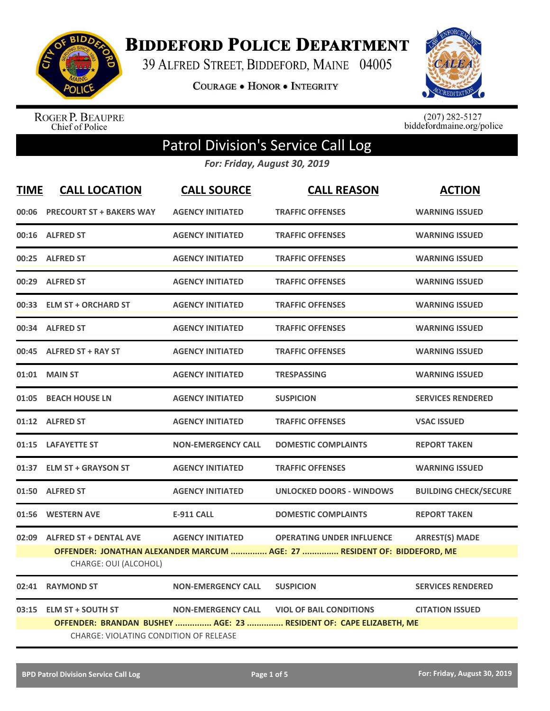

**BIDDEFORD POLICE DEPARTMENT** 

39 ALFRED STREET, BIDDEFORD, MAINE 04005

**COURAGE . HONOR . INTEGRITY** 



ROGER P. BEAUPRE<br>Chief of Police

 $(207)$  282-5127<br>biddefordmaine.org/police

## Patrol Division's Service Call Log

*For: Friday, August 30, 2019*

| <b>TIME</b>                                                        | <b>CALL LOCATION</b>                   | <b>CALL SOURCE</b>        | <b>CALL REASON</b>                                                       | <b>ACTION</b>                |
|--------------------------------------------------------------------|----------------------------------------|---------------------------|--------------------------------------------------------------------------|------------------------------|
| 00:06                                                              | <b>PRECOURT ST + BAKERS WAY</b>        | <b>AGENCY INITIATED</b>   | <b>TRAFFIC OFFENSES</b>                                                  | <b>WARNING ISSUED</b>        |
|                                                                    | 00:16 ALFRED ST                        | <b>AGENCY INITIATED</b>   | <b>TRAFFIC OFFENSES</b>                                                  | <b>WARNING ISSUED</b>        |
| 00:25                                                              | <b>ALFRED ST</b>                       | <b>AGENCY INITIATED</b>   | <b>TRAFFIC OFFENSES</b>                                                  | <b>WARNING ISSUED</b>        |
|                                                                    | 00:29 ALFRED ST                        | <b>AGENCY INITIATED</b>   | <b>TRAFFIC OFFENSES</b>                                                  | <b>WARNING ISSUED</b>        |
|                                                                    | 00:33 ELM ST + ORCHARD ST              | <b>AGENCY INITIATED</b>   | <b>TRAFFIC OFFENSES</b>                                                  | <b>WARNING ISSUED</b>        |
|                                                                    | 00:34 ALFRED ST                        | <b>AGENCY INITIATED</b>   | <b>TRAFFIC OFFENSES</b>                                                  | <b>WARNING ISSUED</b>        |
|                                                                    | 00:45 ALFRED ST + RAY ST               | <b>AGENCY INITIATED</b>   | <b>TRAFFIC OFFENSES</b>                                                  | <b>WARNING ISSUED</b>        |
|                                                                    | 01:01 MAIN ST                          | <b>AGENCY INITIATED</b>   | <b>TRESPASSING</b>                                                       | <b>WARNING ISSUED</b>        |
| 01:05                                                              | <b>BEACH HOUSE LN</b>                  | <b>AGENCY INITIATED</b>   | <b>SUSPICION</b>                                                         | <b>SERVICES RENDERED</b>     |
|                                                                    | 01:12 ALFRED ST                        | <b>AGENCY INITIATED</b>   | <b>TRAFFIC OFFENSES</b>                                                  | <b>VSAC ISSUED</b>           |
|                                                                    | 01:15 LAFAYETTE ST                     | <b>NON-EMERGENCY CALL</b> | <b>DOMESTIC COMPLAINTS</b>                                               | <b>REPORT TAKEN</b>          |
|                                                                    | 01:37 ELM ST + GRAYSON ST              | <b>AGENCY INITIATED</b>   | <b>TRAFFIC OFFENSES</b>                                                  | <b>WARNING ISSUED</b>        |
|                                                                    | 01:50 ALFRED ST                        | <b>AGENCY INITIATED</b>   | <b>UNLOCKED DOORS - WINDOWS</b>                                          | <b>BUILDING CHECK/SECURE</b> |
|                                                                    | 01:56 WESTERN AVE                      | <b>E-911 CALL</b>         | <b>DOMESTIC COMPLAINTS</b>                                               | <b>REPORT TAKEN</b>          |
|                                                                    | 02:09 ALFRED ST + DENTAL AVE           | <b>AGENCY INITIATED</b>   | <b>OPERATING UNDER INFLUENCE</b>                                         | <b>ARREST(S) MADE</b>        |
|                                                                    |                                        |                           | OFFENDER: JONATHAN ALEXANDER MARCUM  AGE: 27  RESIDENT OF: BIDDEFORD, ME |                              |
|                                                                    | CHARGE: OUI (ALCOHOL)                  |                           |                                                                          |                              |
| 02:41                                                              | <b>RAYMOND ST</b>                      | <b>NON-EMERGENCY CALL</b> | <b>SUSPICION</b>                                                         | <b>SERVICES RENDERED</b>     |
| 03:15                                                              | <b>ELM ST + SOUTH ST</b>               | <b>NON-EMERGENCY CALL</b> | <b>VIOL OF BAIL CONDITIONS</b>                                           | <b>CITATION ISSUED</b>       |
| OFFENDER: BRANDAN BUSHEY  AGE: 23  RESIDENT OF: CAPE ELIZABETH, ME |                                        |                           |                                                                          |                              |
|                                                                    | CHARGE: VIOLATING CONDITION OF RELEASE |                           |                                                                          |                              |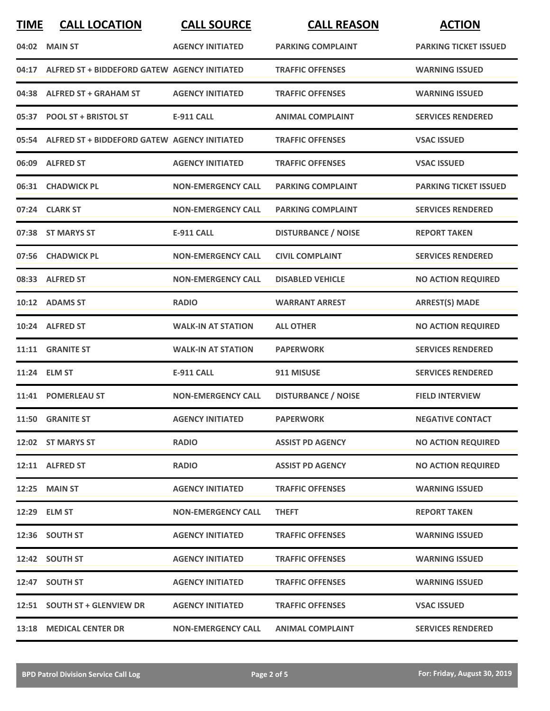| <b>TIME</b> | <b>CALL LOCATION</b>                               | <b>CALL SOURCE</b>        | <b>CALL REASON</b>         | <b>ACTION</b>                |
|-------------|----------------------------------------------------|---------------------------|----------------------------|------------------------------|
|             | 04:02 MAIN ST                                      | <b>AGENCY INITIATED</b>   | <b>PARKING COMPLAINT</b>   | <b>PARKING TICKET ISSUED</b> |
|             | 04:17 ALFRED ST + BIDDEFORD GATEW AGENCY INITIATED |                           | <b>TRAFFIC OFFENSES</b>    | <b>WARNING ISSUED</b>        |
|             | 04:38 ALFRED ST + GRAHAM ST                        | <b>AGENCY INITIATED</b>   | <b>TRAFFIC OFFENSES</b>    | <b>WARNING ISSUED</b>        |
|             | 05:37 POOL ST + BRISTOL ST                         | <b>E-911 CALL</b>         | <b>ANIMAL COMPLAINT</b>    | <b>SERVICES RENDERED</b>     |
|             | 05:54 ALFRED ST + BIDDEFORD GATEW AGENCY INITIATED |                           | <b>TRAFFIC OFFENSES</b>    | <b>VSAC ISSUED</b>           |
|             | 06:09 ALFRED ST                                    | <b>AGENCY INITIATED</b>   | <b>TRAFFIC OFFENSES</b>    | <b>VSAC ISSUED</b>           |
|             | 06:31 CHADWICK PL                                  | <b>NON-EMERGENCY CALL</b> | <b>PARKING COMPLAINT</b>   | <b>PARKING TICKET ISSUED</b> |
|             | 07:24 CLARK ST                                     | <b>NON-EMERGENCY CALL</b> | <b>PARKING COMPLAINT</b>   | <b>SERVICES RENDERED</b>     |
|             | 07:38 ST MARYS ST                                  | <b>E-911 CALL</b>         | <b>DISTURBANCE / NOISE</b> | <b>REPORT TAKEN</b>          |
|             | 07:56 CHADWICK PL                                  | <b>NON-EMERGENCY CALL</b> | <b>CIVIL COMPLAINT</b>     | <b>SERVICES RENDERED</b>     |
|             | 08:33 ALFRED ST                                    | <b>NON-EMERGENCY CALL</b> | <b>DISABLED VEHICLE</b>    | <b>NO ACTION REQUIRED</b>    |
|             | 10:12 ADAMS ST                                     | <b>RADIO</b>              | <b>WARRANT ARREST</b>      | <b>ARREST(S) MADE</b>        |
|             | 10:24 ALFRED ST                                    | <b>WALK-IN AT STATION</b> | <b>ALL OTHER</b>           | <b>NO ACTION REQUIRED</b>    |
|             | 11:11 GRANITE ST                                   | <b>WALK-IN AT STATION</b> | <b>PAPERWORK</b>           | <b>SERVICES RENDERED</b>     |
|             | 11:24 ELM ST                                       | <b>E-911 CALL</b>         | 911 MISUSE                 | <b>SERVICES RENDERED</b>     |
|             | 11:41 POMERLEAU ST                                 | <b>NON-EMERGENCY CALL</b> | <b>DISTURBANCE / NOISE</b> | <b>FIELD INTERVIEW</b>       |
|             | 11:50 GRANITE ST                                   | <b>AGENCY INITIATED</b>   | <b>PAPERWORK</b>           | <b>NEGATIVE CONTACT</b>      |
|             | 12:02 ST MARYS ST                                  | <b>RADIO</b>              | <b>ASSIST PD AGENCY</b>    | <b>NO ACTION REQUIRED</b>    |
|             | 12:11 ALFRED ST                                    | <b>RADIO</b>              | <b>ASSIST PD AGENCY</b>    | <b>NO ACTION REQUIRED</b>    |
|             | <b>12:25 MAIN ST</b>                               | <b>AGENCY INITIATED</b>   | <b>TRAFFIC OFFENSES</b>    | <b>WARNING ISSUED</b>        |
|             | 12:29 ELM ST                                       | <b>NON-EMERGENCY CALL</b> | <b>THEFT</b>               | <b>REPORT TAKEN</b>          |
|             | 12:36 SOUTH ST                                     | <b>AGENCY INITIATED</b>   | <b>TRAFFIC OFFENSES</b>    | <b>WARNING ISSUED</b>        |
|             | 12:42 SOUTH ST                                     | <b>AGENCY INITIATED</b>   | <b>TRAFFIC OFFENSES</b>    | <b>WARNING ISSUED</b>        |
|             | 12:47 SOUTH ST                                     | <b>AGENCY INITIATED</b>   | <b>TRAFFIC OFFENSES</b>    | <b>WARNING ISSUED</b>        |
|             | 12:51 SOUTH ST + GLENVIEW DR                       | <b>AGENCY INITIATED</b>   | <b>TRAFFIC OFFENSES</b>    | <b>VSAC ISSUED</b>           |
|             | 13:18 MEDICAL CENTER DR                            | <b>NON-EMERGENCY CALL</b> | <b>ANIMAL COMPLAINT</b>    | <b>SERVICES RENDERED</b>     |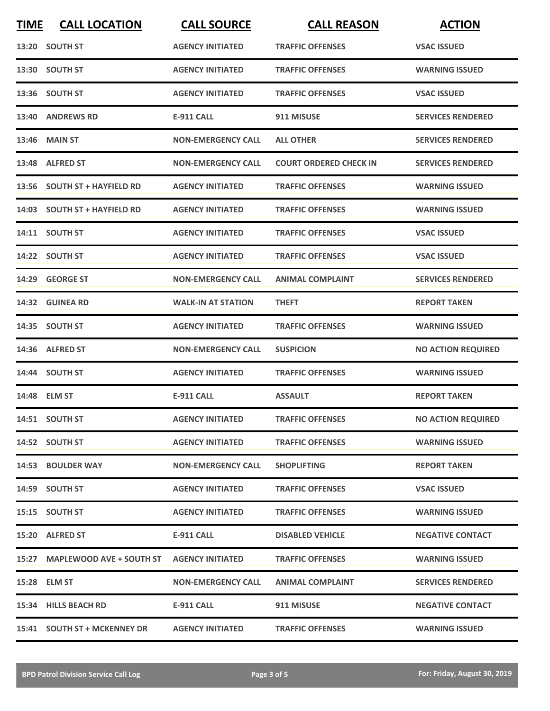| <b>TIME</b> | <b>CALL LOCATION</b>           | <b>CALL SOURCE</b>        | <b>CALL REASON</b>            | <b>ACTION</b>             |
|-------------|--------------------------------|---------------------------|-------------------------------|---------------------------|
|             | 13:20 SOUTH ST                 | <b>AGENCY INITIATED</b>   | <b>TRAFFIC OFFENSES</b>       | <b>VSAC ISSUED</b>        |
|             | 13:30 SOUTH ST                 | <b>AGENCY INITIATED</b>   | <b>TRAFFIC OFFENSES</b>       | <b>WARNING ISSUED</b>     |
|             | 13:36 SOUTH ST                 | <b>AGENCY INITIATED</b>   | <b>TRAFFIC OFFENSES</b>       | <b>VSAC ISSUED</b>        |
|             | 13:40 ANDREWS RD               | <b>E-911 CALL</b>         | 911 MISUSE                    | <b>SERVICES RENDERED</b>  |
|             | <b>13:46 MAIN ST</b>           | <b>NON-EMERGENCY CALL</b> | <b>ALL OTHER</b>              | <b>SERVICES RENDERED</b>  |
|             | 13:48 ALFRED ST                | <b>NON-EMERGENCY CALL</b> | <b>COURT ORDERED CHECK IN</b> | <b>SERVICES RENDERED</b>  |
|             | 13:56 SOUTH ST + HAYFIELD RD   | <b>AGENCY INITIATED</b>   | <b>TRAFFIC OFFENSES</b>       | <b>WARNING ISSUED</b>     |
|             | 14:03 SOUTH ST + HAYFIELD RD   | <b>AGENCY INITIATED</b>   | <b>TRAFFIC OFFENSES</b>       | <b>WARNING ISSUED</b>     |
|             | 14:11 SOUTH ST                 | <b>AGENCY INITIATED</b>   | <b>TRAFFIC OFFENSES</b>       | <b>VSAC ISSUED</b>        |
|             | 14:22 SOUTH ST                 | <b>AGENCY INITIATED</b>   | <b>TRAFFIC OFFENSES</b>       | <b>VSAC ISSUED</b>        |
|             | 14:29 GEORGE ST                | <b>NON-EMERGENCY CALL</b> | <b>ANIMAL COMPLAINT</b>       | <b>SERVICES RENDERED</b>  |
|             | 14:32 GUINEA RD                | <b>WALK-IN AT STATION</b> | <b>THEFT</b>                  | <b>REPORT TAKEN</b>       |
|             | 14:35 SOUTH ST                 | <b>AGENCY INITIATED</b>   | <b>TRAFFIC OFFENSES</b>       | <b>WARNING ISSUED</b>     |
|             | 14:36 ALFRED ST                | <b>NON-EMERGENCY CALL</b> | <b>SUSPICION</b>              | <b>NO ACTION REQUIRED</b> |
|             | 14:44 SOUTH ST                 | <b>AGENCY INITIATED</b>   | <b>TRAFFIC OFFENSES</b>       | <b>WARNING ISSUED</b>     |
|             | 14:48 ELM ST                   | E-911 CALL                | <b>ASSAULT</b>                | <b>REPORT TAKEN</b>       |
|             | 14:51 SOUTH ST                 | <b>AGENCY INITIATED</b>   | <b>TRAFFIC OFFENSES</b>       | <b>NO ACTION REQUIRED</b> |
|             | 14:52 SOUTH ST                 | <b>AGENCY INITIATED</b>   | <b>TRAFFIC OFFENSES</b>       | <b>WARNING ISSUED</b>     |
|             | 14:53 BOULDER WAY              | <b>NON-EMERGENCY CALL</b> | <b>SHOPLIFTING</b>            | <b>REPORT TAKEN</b>       |
|             | 14:59 SOUTH ST                 | <b>AGENCY INITIATED</b>   | <b>TRAFFIC OFFENSES</b>       | <b>VSAC ISSUED</b>        |
|             | 15:15 SOUTH ST                 | <b>AGENCY INITIATED</b>   | <b>TRAFFIC OFFENSES</b>       | <b>WARNING ISSUED</b>     |
|             | 15:20 ALFRED ST                | E-911 CALL                | <b>DISABLED VEHICLE</b>       | <b>NEGATIVE CONTACT</b>   |
|             | 15:27 MAPLEWOOD AVE + SOUTH ST | <b>AGENCY INITIATED</b>   | <b>TRAFFIC OFFENSES</b>       | <b>WARNING ISSUED</b>     |
|             | 15:28 ELM ST                   | <b>NON-EMERGENCY CALL</b> | <b>ANIMAL COMPLAINT</b>       | <b>SERVICES RENDERED</b>  |
|             | 15:34 HILLS BEACH RD           | E-911 CALL                | 911 MISUSE                    | <b>NEGATIVE CONTACT</b>   |
|             | 15:41 SOUTH ST + MCKENNEY DR   | <b>AGENCY INITIATED</b>   | <b>TRAFFIC OFFENSES</b>       | <b>WARNING ISSUED</b>     |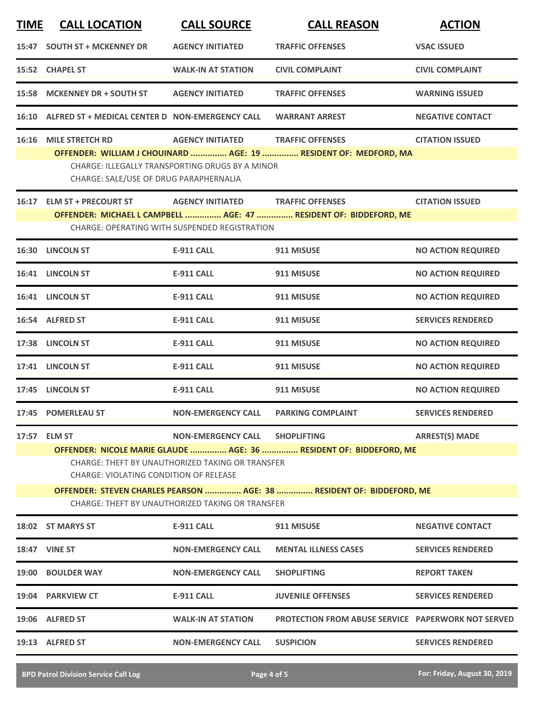| <b>TIME</b>                                                                                                               | <b>CALL LOCATION</b>                                                                                                                                                    | <b>CALL SOURCE</b>                                     | <b>CALL REASON</b>                                                | <b>ACTION</b>             |  |
|---------------------------------------------------------------------------------------------------------------------------|-------------------------------------------------------------------------------------------------------------------------------------------------------------------------|--------------------------------------------------------|-------------------------------------------------------------------|---------------------------|--|
|                                                                                                                           | 15:47 SOUTH ST + MCKENNEY DR                                                                                                                                            | <b>AGENCY INITIATED</b>                                | <b>TRAFFIC OFFENSES</b>                                           | <b>VSAC ISSUED</b>        |  |
|                                                                                                                           | 15:52 CHAPEL ST                                                                                                                                                         | <b>WALK-IN AT STATION</b>                              | <b>CIVIL COMPLAINT</b>                                            | <b>CIVIL COMPLAINT</b>    |  |
|                                                                                                                           | 15:58 MCKENNEY DR + SOUTH ST                                                                                                                                            | <b>AGENCY INITIATED</b>                                | <b>TRAFFIC OFFENSES</b>                                           | <b>WARNING ISSUED</b>     |  |
|                                                                                                                           | 16:10 ALFRED ST + MEDICAL CENTER D NON-EMERGENCY CALL                                                                                                                   |                                                        | <b>WARRANT ARREST</b>                                             | <b>NEGATIVE CONTACT</b>   |  |
|                                                                                                                           | 16:16 MILE STRETCH RD                                                                                                                                                   | <b>AGENCY INITIATED</b>                                | <b>TRAFFIC OFFENSES</b>                                           | <b>CITATION ISSUED</b>    |  |
|                                                                                                                           | CHARGE: SALE/USE OF DRUG PARAPHERNALIA                                                                                                                                  | <b>CHARGE: ILLEGALLY TRANSPORTING DRUGS BY A MINOR</b> | OFFENDER: WILLIAM J CHOUINARD  AGE: 19  RESIDENT OF: MEDFORD, MA  |                           |  |
|                                                                                                                           | 16:17 ELM ST + PRECOURT ST AGENCY INITIATED                                                                                                                             |                                                        | <b>TRAFFIC OFFENSES</b>                                           | <b>CITATION ISSUED</b>    |  |
|                                                                                                                           |                                                                                                                                                                         | <b>CHARGE: OPERATING WITH SUSPENDED REGISTRATION</b>   | OFFENDER: MICHAEL L CAMPBELL  AGE: 47  RESIDENT OF: BIDDEFORD, ME |                           |  |
|                                                                                                                           | 16:30 LINCOLN ST                                                                                                                                                        | <b>E-911 CALL</b>                                      | 911 MISUSE                                                        | <b>NO ACTION REQUIRED</b> |  |
|                                                                                                                           | 16:41 LINCOLN ST                                                                                                                                                        | <b>E-911 CALL</b>                                      | 911 MISUSE                                                        | <b>NO ACTION REQUIRED</b> |  |
|                                                                                                                           | 16:41 LINCOLN ST                                                                                                                                                        | <b>E-911 CALL</b>                                      | 911 MISUSE                                                        | <b>NO ACTION REQUIRED</b> |  |
|                                                                                                                           | 16:54 ALFRED ST                                                                                                                                                         | <b>E-911 CALL</b>                                      | 911 MISUSE                                                        | <b>SERVICES RENDERED</b>  |  |
|                                                                                                                           | 17:38 LINCOLN ST                                                                                                                                                        | <b>E-911 CALL</b>                                      | 911 MISUSE                                                        | <b>NO ACTION REQUIRED</b> |  |
|                                                                                                                           | 17:41 LINCOLN ST                                                                                                                                                        | <b>E-911 CALL</b>                                      | 911 MISUSE                                                        | <b>NO ACTION REQUIRED</b> |  |
|                                                                                                                           | 17:45 LINCOLN ST                                                                                                                                                        | <b>E-911 CALL</b>                                      | 911 MISUSE                                                        | <b>NO ACTION REQUIRED</b> |  |
|                                                                                                                           | 17:45 POMERLEAU ST                                                                                                                                                      | <b>NON-EMERGENCY CALL</b>                              | <b>PARKING COMPLAINT</b>                                          | <b>SERVICES RENDERED</b>  |  |
|                                                                                                                           | 17:57 ELM ST                                                                                                                                                            | <b>NON-EMERGENCY CALL</b>                              | <b>SHOPLIFTING</b>                                                | <b>ARREST(S) MADE</b>     |  |
|                                                                                                                           | OFFENDER: NICOLE MARIE GLAUDE  AGE: 36  RESIDENT OF: BIDDEFORD, ME<br><b>CHARGE: THEFT BY UNAUTHORIZED TAKING OR TRANSFER</b><br>CHARGE: VIOLATING CONDITION OF RELEASE |                                                        |                                                                   |                           |  |
| OFFENDER: STEVEN CHARLES PEARSON  AGE: 38  RESIDENT OF: BIDDEFORD, ME<br>CHARGE: THEFT BY UNAUTHORIZED TAKING OR TRANSFER |                                                                                                                                                                         |                                                        |                                                                   |                           |  |
|                                                                                                                           | <b>18:02 ST MARYS ST</b>                                                                                                                                                | <b>E-911 CALL</b>                                      | 911 MISUSE                                                        | <b>NEGATIVE CONTACT</b>   |  |
|                                                                                                                           | <b>18:47 VINE ST</b>                                                                                                                                                    | NON-EMERGENCY CALL                                     | <b>MENTAL ILLNESS CASES</b>                                       | <b>SERVICES RENDERED</b>  |  |
|                                                                                                                           | <b>19:00 BOULDER WAY</b>                                                                                                                                                | <b>NON-EMERGENCY CALL</b>                              | <b>SHOPLIFTING</b>                                                | <b>REPORT TAKEN</b>       |  |
|                                                                                                                           | 19:04 PARKVIEW CT                                                                                                                                                       | <b>E-911 CALL</b>                                      | <b>JUVENILE OFFENSES</b>                                          | <b>SERVICES RENDERED</b>  |  |
|                                                                                                                           | 19:06 ALFRED ST                                                                                                                                                         | <b>WALK-IN AT STATION</b>                              | <b>PROTECTION FROM ABUSE SERVICE PAPERWORK NOT SERVED</b>         |                           |  |
|                                                                                                                           | 19:13 ALFRED ST                                                                                                                                                         | <b>NON-EMERGENCY CALL</b>                              | <b>SUSPICION</b>                                                  | <b>SERVICES RENDERED</b>  |  |
|                                                                                                                           |                                                                                                                                                                         |                                                        |                                                                   |                           |  |